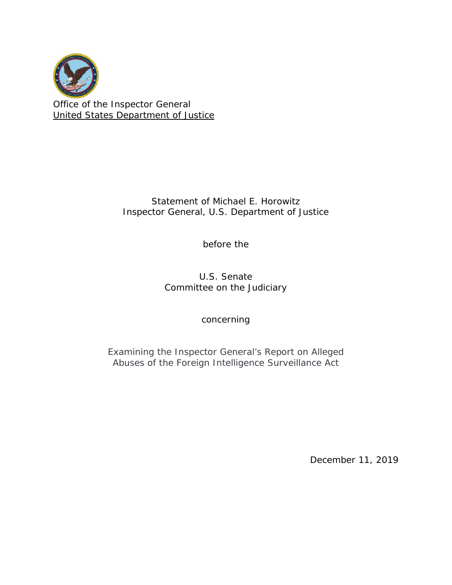

Office of the Inspector General United States Department of Justice

> Statement of Michael E. Horowitz Inspector General, U.S. Department of Justice

> > *before the*

U.S. Senate Committee on the Judiciary

*concerning*

Examining the Inspector General's Report on Alleged Abuses of the Foreign Intelligence Surveillance Act

December 11, 2019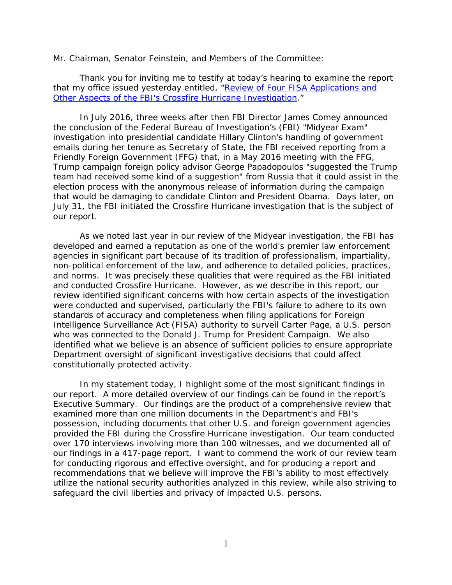Mr. Chairman, Senator Feinstein, and Members of the Committee:

Thank you for inviting me to testify at today's hearing to examine the report that my office issued yesterday entitled, "Review of Four FISA Applications and [Other Aspects of the FBI's Crossfire Hurricane Investigation.](https://www.justice.gov/storage/120919-examination.pdf)"

In July 2016, three weeks after then FBI Director James Comey announced the conclusion of the Federal Bureau of Investigation's (FBI) "Midyear Exam" investigation into presidential candidate Hillary Clinton's handling of government emails during her tenure as Secretary of State, the FBI received reporting from a Friendly Foreign Government (FFG) that, in a May 2016 meeting with the FFG, Trump campaign foreign policy advisor George Papadopoulos "suggested the Trump team had received some kind of a suggestion" from Russia that it could assist in the election process with the anonymous release of information during the campaign that would be damaging to candidate Clinton and President Obama. Days later, on July 31, the FBI initiated the Crossfire Hurricane investigation that is the subject of our report.

As we noted last year in our review of the Midyear investigation, the FBI has developed and earned a reputation as one of the world's premier law enforcement agencies in significant part because of its tradition of professionalism, impartiality, non-political enforcement of the law, and adherence to detailed policies, practices, and norms. It was precisely these qualities that were required as the FBI initiated and conducted Crossfire Hurricane. However, as we describe in this report, our review identified significant concerns with how certain aspects of the investigation were conducted and supervised, particularly the FBI's failure to adhere to its own standards of accuracy and completeness when filing applications for Foreign Intelligence Surveillance Act (FISA) authority to surveil Carter Page, a U.S. person who was connected to the Donald J. Trump for President Campaign. We also identified what we believe is an absence of sufficient policies to ensure appropriate Department oversight of significant investigative decisions that could affect constitutionally protected activity.

In my statement today, I highlight some of the most significant findings in our report. A more detailed overview of our findings can be found in the report's Executive Summary. Our findings are the product of a comprehensive review that examined more than one million documents in the Department's and FBI's possession, including documents that other U.S. and foreign government agencies provided the FBI during the Crossfire Hurricane investigation. Our team conducted over 170 interviews involving more than 100 witnesses, and we documented all of our findings in a 417-page report. I want to commend the work of our review team for conducting rigorous and effective oversight, and for producing a report and recommendations that we believe will improve the FBI's ability to most effectively utilize the national security authorities analyzed in this review, while also striving to safeguard the civil liberties and privacy of impacted U.S. persons.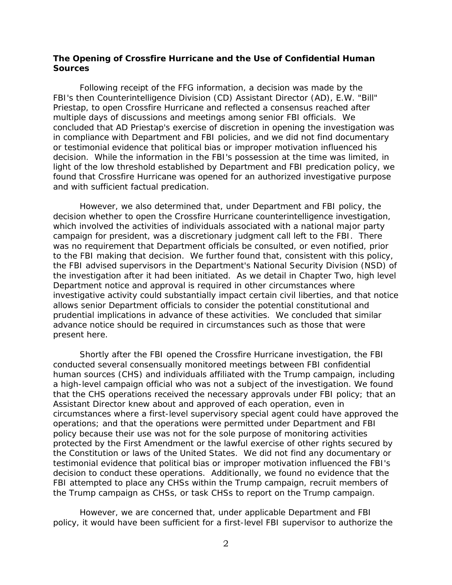## *The Opening of Crossfire Hurricane and the Use of Confidential Human Sources*

Following receipt of the FFG information, a decision was made by the FBI's then Counterintelligence Division (CD) Assistant Director (AD), E.W. "Bill" Priestap, to open Crossfire Hurricane and reflected a consensus reached after multiple days of discussions and meetings among senior FBI officials. We concluded that AD Priestap's exercise of discretion in opening the investigation was in compliance with Department and FBI policies, and we did not find documentary or testimonial evidence that political bias or improper motivation influenced his decision. While the information in the FBI's possession at the time was limited, in light of the low threshold established by Department and FBI predication policy, we found that Crossfire Hurricane was opened for an authorized investigative purpose and with sufficient factual predication.

However, we also determined that, under Department and FBI policy, the decision whether to open the Crossfire Hurricane counterintelligence investigation, which involved the activities of individuals associated with a national major party campaign for president, was a discretionary judgment call left to the FBI. There was no requirement that Department officials be consulted, or even notified, prior to the FBI making that decision. We further found that, consistent with this policy, the FBI advised supervisors in the Department's National Security Division (NSD) of the investigation after it had been initiated. As we detail in Chapter Two, high level Department notice and approval is required in other circumstances where investigative activity could substantially impact certain civil liberties, and that notice allows senior Department officials to consider the potential constitutional and prudential implications in advance of these activities. We concluded that similar advance notice should be required in circumstances such as those that were present here.

Shortly after the FBI opened the Crossfire Hurricane investigation, the FBI conducted several consensually monitored meetings between FBI confidential human sources (CHS) and individuals affiliated with the Trump campaign, including a high-level campaign official who was not a subject of the investigation. We found that the CHS operations received the necessary approvals under FBI policy; that an Assistant Director knew about and approved of each operation, even in circumstances where a first-level supervisory special agent could have approved the operations; and that the operations were permitted under Department and FBI policy because their use was not for the sole purpose of monitoring activities protected by the First Amendment or the lawful exercise of other rights secured by the Constitution or laws of the United States. We did not find any documentary or testimonial evidence that political bias or improper motivation influenced the FBI's decision to conduct these operations. Additionally, we found no evidence that the FBI attempted to place any CHSs within the Trump campaign, recruit members of the Trump campaign as CHSs, or task CHSs to report on the Trump campaign.

However, we are concerned that, under applicable Department and FBI policy, it would have been sufficient for a first-level FBI supervisor to authorize the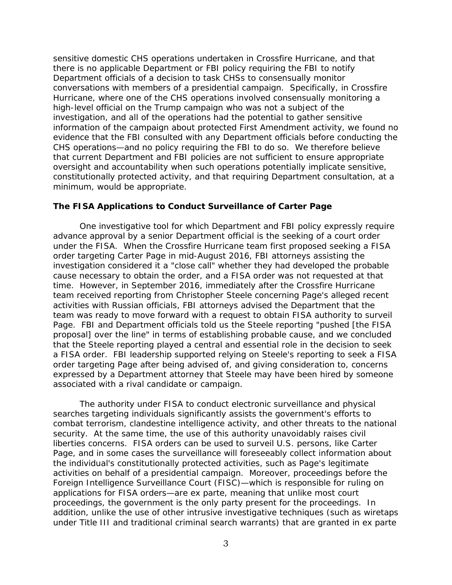sensitive domestic CHS operations undertaken in Crossfire Hurricane, and that there is no applicable Department or FBI policy requiring the FBI to notify Department officials of a decision to task CHSs to consensually monitor conversations with members of a presidential campaign. Specifically, in Crossfire Hurricane, where one of the CHS operations involved consensually monitoring a high-level official on the Trump campaign who was not a subject of the investigation, and all of the operations had the potential to gather sensitive information of the campaign about protected First Amendment activity, we found no evidence that the FBI consulted with any Department officials before conducting the CHS operations—and no policy requiring the FBI to do so. We therefore believe that current Department and FBI policies are not sufficient to ensure appropriate oversight and accountability when such operations potentially implicate sensitive, constitutionally protected activity, and that requiring Department consultation, at a minimum, would be appropriate.

## *The FISA Applications* **to** *Conduct Surveillance of Carter Page*

One investigative tool for which Department and FBI policy expressly require advance approval by a senior Department official is the seeking of a court order under the FISA. When the Crossfire Hurricane team first proposed seeking a FISA order targeting Carter Page in mid-August 2016, FBI attorneys assisting the investigation considered it a "close call" whether they had developed the probable cause necessary to obtain the order, and a FISA order was not requested at that time. However, in September 2016, immediately after the Crossfire Hurricane team received reporting from Christopher Steele concerning Page's alleged recent activities with Russian officials, FBI attorneys advised the Department that the team was ready to move forward with a request to obtain FISA authority to surveil Page. FBI and Department officials told us the Steele reporting "pushed [the FISA proposal] over the line" in terms of establishing probable cause, and we concluded that the Steele reporting played a central and essential role in the decision to seek a FISA order. FBI leadership supported relying on Steele's reporting to seek a FISA order targeting Page after being advised of, and giving consideration to, concerns expressed by a Department attorney that Steele may have been hired by someone associated with a rival candidate or campaign.

The authority under FISA to conduct electronic surveillance and physical searches targeting individuals significantly assists the government's efforts to combat terrorism, clandestine intelligence activity, and other threats to the national security. At the same time, the use of this authority unavoidably raises civil liberties concerns. FISA orders can be used to surveil U.S. persons, like Carter Page, and in some cases the surveillance will foreseeably collect information about the individual's constitutionally protected activities, such as Page's legitimate activities on behalf of a presidential campaign. Moreover, proceedings before the Foreign Intelligence Surveillance Court (FISC)—which is responsible for ruling on applications for FISA orders—are *ex parte,* meaning that unlike most court proceedings, the government is the only party present for the proceedings. In addition, unlike the use of other intrusive investigative techniques (such as wiretaps under Title III and traditional criminal search warrants) that are granted in *ex parte*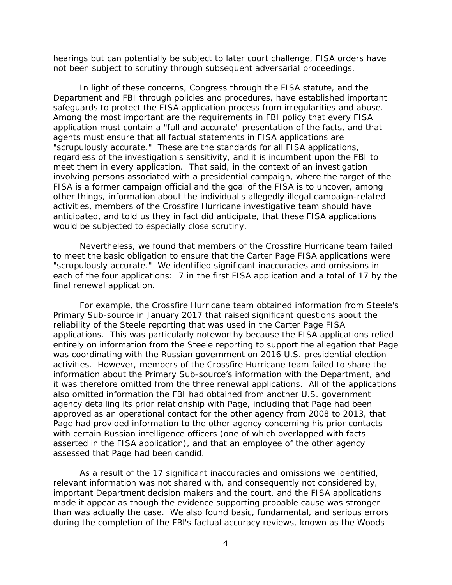hearings but can potentially be subject to later court challenge, FISA orders have not been subject to scrutiny through subsequent adversarial proceedings.

In light of these concerns, Congress through the FISA statute, and the Department and FBI through policies and procedures, have established important safeguards to protect the FISA application process from irregularities and abuse. Among the most important are the requirements in FBI policy that every FISA application must contain a "full and accurate" presentation of the facts, and that agents must ensure that all factual statements in FISA applications are "scrupulously accurate." These are the standards for all FISA applications, regardless of the investigation's sensitivity, and it is incumbent upon the FBI to meet them in every application. That said, in the context of an investigation involving persons associated with a presidential campaign, where the target of the FISA is a former campaign official and the goal of the FISA is to uncover, among other things, information about the individual's allegedly illegal campaign-related activities, members of the Crossfire Hurricane investigative team should have anticipated, and told us they in fact did anticipate, that these FISA applications would be subjected to especially close scrutiny.

Nevertheless, we found that members of the Crossfire Hurricane team failed to meet the basic obligation to ensure that the Carter Page FISA applications were "scrupulously accurate." We identified significant inaccuracies and omissions in each of the four applications: 7 in the first FISA application and a total of 17 by the final renewal application.

For example, the Crossfire Hurricane team obtained information from Steele's Primary Sub-source in January 2017 that raised significant questions about the reliability of the Steele reporting that was used in the Carter Page FISA applications. This was particularly noteworthy because the FISA applications relied entirely on information from the Steele reporting to support the allegation that Page was coordinating with the Russian government on 2016 U.S. presidential election activities. However, members of the Crossfire Hurricane team failed to share the information about the Primary Sub-source's information with the Department, and it was therefore omitted from the three renewal applications. All of the applications also omitted information the FBI had obtained from another U.S. government agency detailing its prior relationship with Page, including that Page had been approved as an operational contact for the other agency from 2008 to 2013, that Page had provided information to the other agency concerning his prior contacts with certain Russian intelligence officers (one of which overlapped with facts asserted in the FISA application), and that an employee of the other agency assessed that Page had been candid.

As a result of the 17 significant inaccuracies and omissions we identified, relevant information was not shared with, and consequently not considered by, important Department decision makers and the court, and the FISA applications made it appear as though the evidence supporting probable cause was stronger than was actually the case. We also found basic, fundamental, and serious errors during the completion of the FBl's factual accuracy reviews, known as the Woods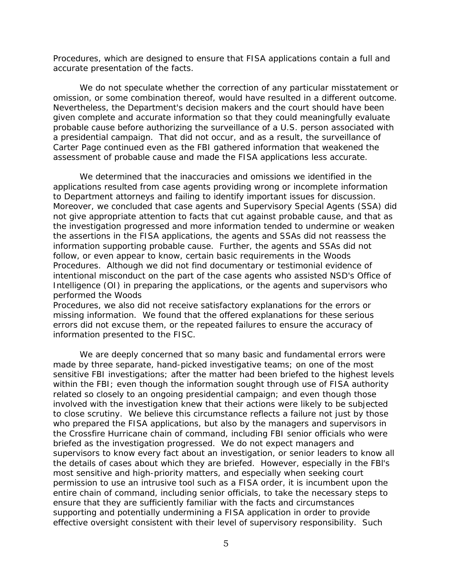Procedures, which are designed to ensure that FISA applications contain a full and accurate presentation of the facts.

We do not speculate whether the correction of any particular misstatement or omission, or some combination thereof, would have resulted in a different outcome. Nevertheless, the Department's decision makers and the court should have been given complete and accurate information so that they could meaningfully evaluate probable cause before authorizing the surveillance of a U.S. person associated with a presidential campaign. That did not occur, and as a result, the surveillance of Carter Page continued even as the FBI gathered information that weakened the assessment of probable cause and made the FISA applications less accurate.

We determined that the inaccuracies and omissions we identified in the applications resulted from case agents providing wrong or incomplete information to Department attorneys and failing to identify important issues for discussion. Moreover, we concluded that case agents and Supervisory Special Agents (SSA) did not give appropriate attention to facts that cut against probable cause, and that as the investigation progressed and more information tended to undermine or weaken the assertions in the FISA applications, the agents and SSAs did not reassess the information supporting probable cause. Further, the agents and SSAs did not follow, or even appear to know, certain basic requirements in the Woods Procedures. Although we did not find documentary or testimonial evidence of intentional misconduct on the part of the case agents who assisted NSD's Office of Intelligence (OI) in preparing the applications, or the agents and supervisors who performed the Woods

Procedures, we also did not receive satisfactory explanations for the errors or missing information. We found that the offered explanations for these serious errors did not excuse them, or the repeated failures to ensure the accuracy of information presented to the FISC.

We are deeply concerned that so many basic and fundamental errors were made by three separate, hand-picked investigative teams; on one of the most sensitive FBI investigations; after the matter had been briefed to the highest levels within the FBI; even though the information sought through use of FISA authority related so closely to an ongoing presidential campaign; and even though those involved with the investigation knew that their actions were likely to be subjected to close scrutiny. We believe this circumstance reflects a failure not just by those who prepared the FISA applications, but also by the managers and supervisors in the Crossfire Hurricane chain of command, including FBI senior officials who were briefed as the investigation progressed. We do not expect managers and supervisors to know every fact about an investigation, or senior leaders to know all the details of cases about which they are briefed. However, especially in the FBl's most sensitive and high-priority matters, and especially when seeking court permission to use an intrusive tool such as a FISA order, it is incumbent upon the entire chain of command, including senior officials, to take the necessary steps to ensure that they are sufficiently familiar with the facts and circumstances supporting and potentially undermining a FISA application in order to provide effective oversight consistent with their level of supervisory responsibility. Such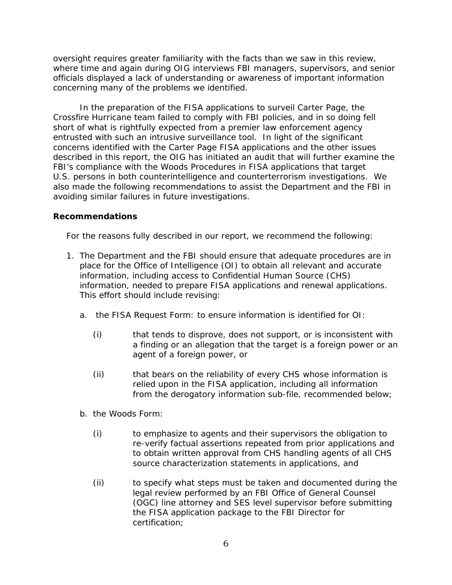oversight requires greater familiarity with the facts than we saw in this review, where time and again during OIG interviews FBI managers, supervisors, and senior officials displayed a lack of understanding or awareness of important information concerning many of the problems we identified.

In the preparation of the FISA applications to surveil Carter Page, the Crossfire Hurricane team failed to comply with FBI policies, and in so doing fell short of what is rightfully expected from a premier law enforcement agency entrusted with such an intrusive surveillance tool. In light of the significant concerns identified with the Carter Page FISA applications and the other issues described in this report, the OIG has initiated an audit that will further examine the FBI's compliance with the Woods Procedures in FISA applications that target U.S. persons in both counterintelligence and counterterrorism investigations. We also made the following recommendations to assist the Department and the FBI in avoiding similar failures in future investigations.

## **Recommendations**

For the reasons fully described in our report, we recommend the following:

- 1. The Department and the FBI should ensure that adequate procedures are in place for the Office of Intelligence (OI) to obtain all relevant and accurate information, including access to Confidential Human Source (CHS) information, needed to prepare FISA applications and renewal applications. This effort should include revising:
	- a. the FISA Request Form: to ensure information is identified for OI:
		- (i) that tends to disprove, does not support, or is inconsistent with a finding or an allegation that the target is a foreign power or an agent of a foreign power, or
		- (ii) that bears on the reliability of every CHS whose information is relied upon in the FISA application, including all information from the derogatory information sub-file, recommended below;
	- b. the Woods Form:
		- (i) to emphasize to agents and their supervisors the obligation to re-verify factual assertions repeated from prior applications and to obtain written approval from CHS handling agents of all CHS source characterization statements in applications, and
		- (ii) to specify what steps must be taken and documented during the legal review performed by an FBI Office of General Counsel (OGC) line attorney and SES level supervisor before submitting the FISA application package to the FBI Director for certification;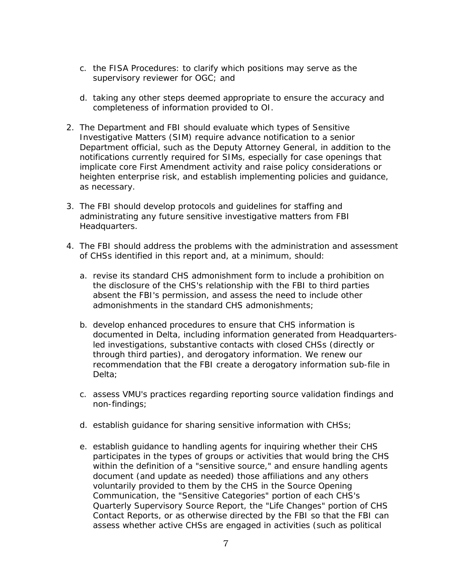- c. the FISA Procedures: to clarify which positions may serve as the supervisory reviewer for OGC; and
- d. taking any other steps deemed appropriate to ensure the accuracy and completeness of information provided to OI.
- 2. The Department and FBI should evaluate which types of Sensitive Investigative Matters (SIM) require advance notification to a senior Department official, such as the Deputy Attorney General, in addition to the notifications currently required for SIMs, especially for case openings that implicate core First Amendment activity and raise policy considerations or heighten enterprise risk, and establish implementing policies and guidance, as necessary.
- 3. The FBI should develop protocols and guidelines for staffing and administrating any future sensitive investigative matters from FBI Headquarters.
- 4. The FBI should address the problems with the administration and assessment of CHSs identified in this report and, at a minimum, should:
	- a. revise its standard CHS admonishment form to include a prohibition on the disclosure of the CHS's relationship with the FBI to third parties absent the FBI's permission, and assess the need to include other admonishments in the standard CHS admonishments;
	- b. develop enhanced procedures to ensure that CHS information is documented in Delta, including information generated from Headquartersled investigations, substantive contacts with closed CHSs (directly or through third parties), and derogatory information. We renew our recommendation that the FBI create a derogatory information sub-file in Delta;
	- c. assess VMU's practices regarding reporting source validation findings and non-findings;
	- d. establish guidance for sharing sensitive information with CHSs;
	- e. establish guidance to handling agents for inquiring whether their CHS participates in the types of groups or activities that would bring the CHS within the definition of a "sensitive source," and ensure handling agents document (and update as needed) those affiliations and any others voluntarily provided to them by the CHS in the Source Opening Communication, the "Sensitive Categories" portion of each CHS's Quarterly Supervisory Source Report, the "Life Changes" portion of CHS Contact Reports, or as otherwise directed by the FBI so that the FBI can assess whether active CHSs are engaged in activities (such as political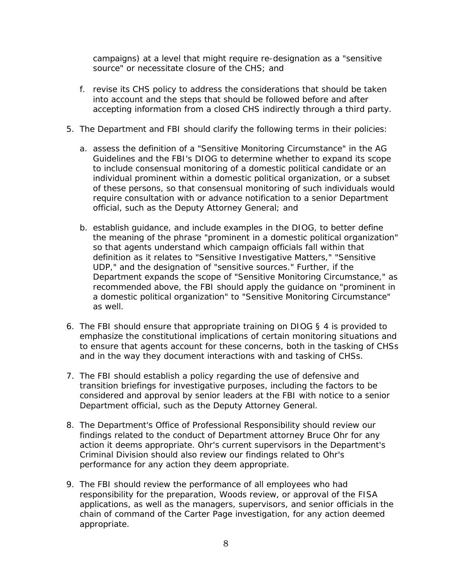campaigns) at a level that might require re-designation as a "sensitive source" or necessitate closure of the CHS; and

- f. revise its CHS policy to address the considerations that should be taken into account and the steps that should be followed before and after accepting information from a closed CHS indirectly through a third party.
- 5. The Department and FBI should clarify the following terms in their policies:
	- a. assess the definition of a "Sensitive Monitoring Circumstance" in the AG Guidelines and the FBI's DIOG to determine whether to expand its scope to include consensual monitoring of a domestic political candidate or an individual prominent within a domestic political organization, or a subset of these persons, so that consensual monitoring of such individuals would require consultation with or advance notification to a senior Department official, such as the Deputy Attorney General; and
	- b. establish guidance, and include examples in the DIOG, to better define the meaning of the phrase "prominent in a domestic political organization" so that agents understand which campaign officials fall within that definition as it relates to "Sensitive Investigative Matters," "Sensitive UDP," and the designation of "sensitive sources." Further, if the Department expands the scope of "Sensitive Monitoring Circumstance," as recommended above, the FBI should apply the guidance on "prominent in a domestic political organization" to "Sensitive Monitoring Circumstance" as well.
- 6. The FBI should ensure that appropriate training on DIOG § 4 is provided to emphasize the constitutional implications of certain monitoring situations and to ensure that agents account for these concerns, both in the tasking of CHSs and in the way they document interactions with and tasking of CHSs.
- 7. The FBI should establish a policy regarding the use of defensive and transition briefings for investigative purposes, including the factors to be considered and approval by senior leaders at the FBI with notice to a senior Department official, such as the Deputy Attorney General.
- 8. The Department's Office of Professional Responsibility should review our findings related to the conduct of Department attorney Bruce Ohr for any action it deems appropriate. Ohr's current supervisors in the Department's Criminal Division should also review our findings related to Ohr's performance for any action they deem appropriate.
- 9. The FBI should review the performance of all employees who had responsibility for the preparation, Woods review, or approval of the FISA applications, as well as the managers, supervisors, and senior officials in the chain of command of the Carter Page investigation, for any action deemed appropriate.